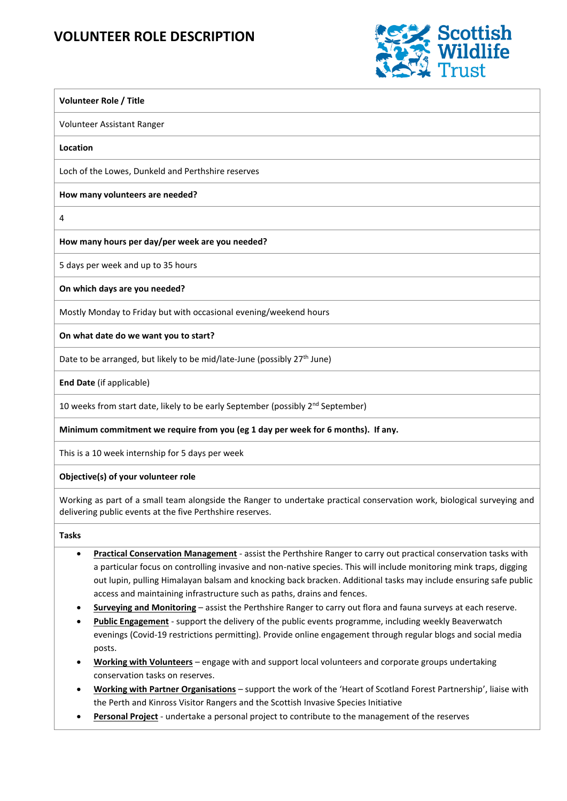## **VOLUNTEER ROLE DESCRIPTION**



# **Volunteer Role / Title** Volunteer Assistant Ranger **Location** Loch of the Lowes, Dunkeld and Perthshire reserves **How many volunteers are needed?** 4 **How many hours per day/per week are you needed?** 5 days per week and up to 35 hours **On which days are you needed?** Mostly Monday to Friday but with occasional evening/weekend hours **On what date do we want you to start?**

Date to be arranged, but likely to be mid/late-June (possibly 27<sup>th</sup> June)

**End Date** (if applicable)

10 weeks from start date, likely to be early September (possibly 2<sup>nd</sup> September)

### **Minimum commitment we require from you (eg 1 day per week for 6 months). If any.**

This is a 10 week internship for 5 days per week

#### **Objective(s) of your volunteer role**

Working as part of a small team alongside the Ranger to undertake practical conservation work, biological surveying and delivering public events at the five Perthshire reserves.

#### **Tasks**

- **Practical Conservation Management** assist the Perthshire Ranger to carry out practical conservation tasks with a particular focus on controlling invasive and non-native species. This will include monitoring mink traps, digging out lupin, pulling Himalayan balsam and knocking back bracken. Additional tasks may include ensuring safe public access and maintaining infrastructure such as paths, drains and fences.
- **Surveying and Monitoring** assist the Perthshire Ranger to carry out flora and fauna surveys at each reserve.
- **Public Engagement** support the delivery of the public events programme, including weekly Beaverwatch evenings (Covid-19 restrictions permitting). Provide online engagement through regular blogs and social media posts.
- **Working with Volunteers** engage with and support local volunteers and corporate groups undertaking conservation tasks on reserves.
- **Working with Partner Organisations** support the work of the 'Heart of Scotland Forest Partnership', liaise with the Perth and Kinross Visitor Rangers and the Scottish Invasive Species Initiative
- **Personal Project** undertake a personal project to contribute to the management of the reserves